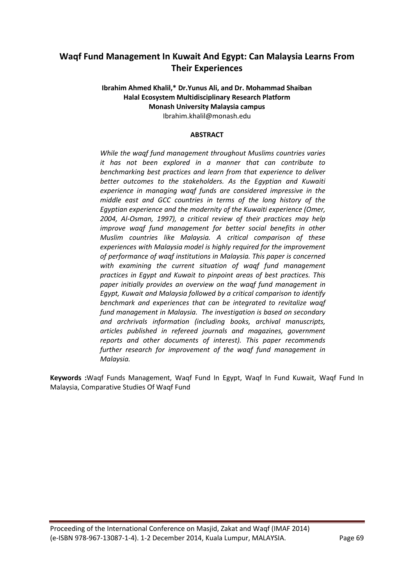# **Waqf Fund Management In Kuwait And Egypt: Can Malaysia Learns From Their Experiences**

### **Ibrahim Ahmed Khalil,\* Dr.Yunus Ali, and Dr. Mohammad Shaiban Halal Ecosystem Multidisciplinary Research Platform Monash University Malaysia campus** Ibrahim.khalil@monash.edu

### **ABSTRACT**

*While the waqf fund management throughout Muslims countries varies it has not been explored in a manner that can contribute to benchmarking best practices and learn from that experience to deliver better outcomes to the stakeholders. As the Egyptian and Kuwaiti experience in managing waqf funds are considered impressive in the middle east and GCC countries in terms of the long history of the Egyptian experience and the modernity of the Kuwaiti experience (Omer, 2004, Al-Osman, 1997), a critical review of their practices may help improve waqf fund management for better social benefits in other Muslim countries like Malaysia. A critical comparison of these experiences with Malaysia model is highly required for the improvement of performance of waqf institutions in Malaysia. This paper is concerned with examining the current situation of waqf fund management practices in Egypt and Kuwait to pinpoint areas of best practices. This paper initially provides an overview on the waqf fund management in Egypt, Kuwait and Malaysia followed by a critical comparison to identify benchmark and experiences that can be integrated to revitalize waqf fund management in Malaysia. The investigation is based on secondary and archrivals information (including books, archival manuscripts, articles published in refereed journals and magazines, government reports and other documents of interest). This paper recommends further research for improvement of the waqf fund management in Malaysia.*

**Keywords :**Waqf Funds Management, Waqf Fund In Egypt, Waqf In Fund Kuwait, Waqf Fund In Malaysia, Comparative Studies Of Waqf Fund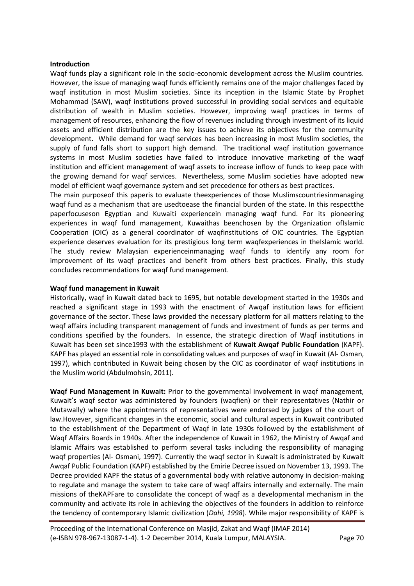#### **Introduction**

Waqf funds play a significant role in the socio-economic development across the Muslim countries. However, the issue of managing waqf funds efficiently remains one of the major challenges faced by waqf institution in most Muslim societies. Since its inception in the Islamic State by Prophet Mohammad (SAW), waqf institutions proved successful in providing social services and equitable distribution of wealth in Muslim societies. However, improving waqf practices in terms of management of resources, enhancing the flow of revenues including through investment of its liquid assets and efficient distribution are the key issues to achieve its objectives for the community development. While demand for waqf services has been increasing in most Muslim societies, the supply of fund falls short to support high demand. The traditional waqf institution governance systems in most Muslim societies have failed to introduce innovative marketing of the waqf institution and efficient management of waqf assets to increase inflow of funds to keep pace with the growing demand for waqf services. Nevertheless, some Muslim societies have adopted new model of efficient waqf governance system and set precedence for others as best practices.

The main purposeof this paperis to evaluate theexperiences of those Muslimscountriesinmanaging waqf fund as a mechanism that are usedtoease the financial burden of the state. In this respectthe paperfocuseson Egyptian and Kuwaiti experiencein managing waqf fund. For its pioneering experiences in waqf fund management, Kuwaithas beenchosen by the Organization ofIslamic Cooperation (OIC) as a general coordinator of waqfinstitutions of OIC countries. The Egyptian experience deserves evaluation for its prestigious long term wagfexperiences in theIslamic world. The study review Malaysian experienceinmanaging waqf funds to identify any room for improvement of its waqf practices and benefit from others best practices. Finally, this study concludes recommendations for waqf fund management.

#### **Waqf fund management in Kuwait**

Historically, waqf in Kuwait dated back to 1695, but notable development started in the 1930s and reached a significant stage in 1993 with the enactment of Awqaf institution laws for efficient governance of the sector. These laws provided the necessary platform for all matters relating to the waqf affairs including transparent management of funds and investment of funds as per terms and conditions specified by the founders. In essence, the strategic direction of Waqf institutions in Kuwait has been set since1993 with the establishment of **Kuwait Awqaf Public Foundation** (KAPF). KAPF has played an essential role in consolidating values and purposes of waqf in Kuwait (Al- Osman, 1997), which contributed in Kuwait being chosen by the OIC as coordinator of waqf institutions in the Muslim world (Abdulmohsin, 2011).

**Waqf Fund Management in Kuwait:** Prior to the governmental involvement in waqf management, Kuwait's waqf sector was administered by founders (waqfien) or their representatives (Nathir or Mutawally) where the appointments of representatives were endorsed by judges of the court of law.However, significant changes in the economic, social and cultural aspects in Kuwait contributed to the establishment of the Department of Waqf in late 1930s followed by the establishment of Waqf Affairs Boards in 1940s. After the independence of Kuwait in 1962, the Ministry of Awqaf and Islamic Affairs was established to perform several tasks including the responsibility of managing waqf properties (Al- Osmani, 1997). Currently the waqf sector in Kuwait is administrated by Kuwait Awqaf Public Foundation (KAPF) established by the Emirie Decree issued on November 13, 1993. The Decree provided KAPF the status of a governmental body with relative autonomy in decision-making to regulate and manage the system to take care of waqf affairs internally and externally. The main missions of theKAPFare to consolidate the concept of waqf as a developmental mechanism in the community and activate its role in achieving the objectives of the founders in addition to reinforce the tendency of contemporary Islamic civilization (*Dahi, 1998*)*.* While major responsibility of KAPF is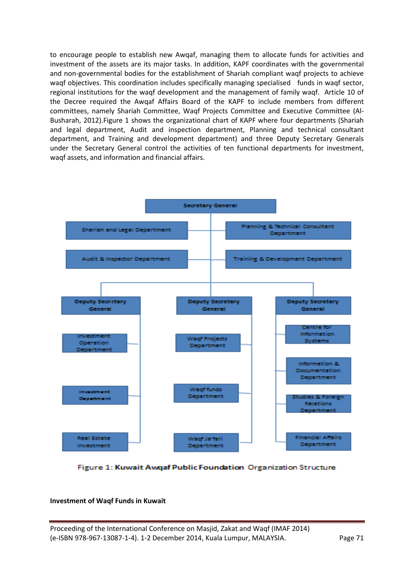to encourage people to establish new Awqaf, managing them to allocate funds for activities and investment of the assets are its major tasks. In addition, KAPF coordinates with the governmental and non-governmental bodies for the establishment of Shariah compliant waqf projects to achieve waqf objectives. This coordination includes specifically managing specialised funds in waqf sector, regional institutions for the waqf development and the management of family waqf. Article 10 of the Decree required the Awqaf Affairs Board of the KAPF to include members from different committees, namely Shariah Committee, Waqf Projects Committee and Executive Committee (Al-Busharah, 2012).Figure 1 shows the organizational chart of KAPF where four departments (Shariah and legal department, Audit and inspection department, Planning and technical consultant department, and Training and development department) and three Deputy Secretary Generals under the Secretary General control the activities of ten functional departments for investment, waqf assets, and information and financial affairs.



Figure 1: Kuwait Awqaf Public Foundation Organization Structure

# **Investment of Waqf Funds in Kuwait**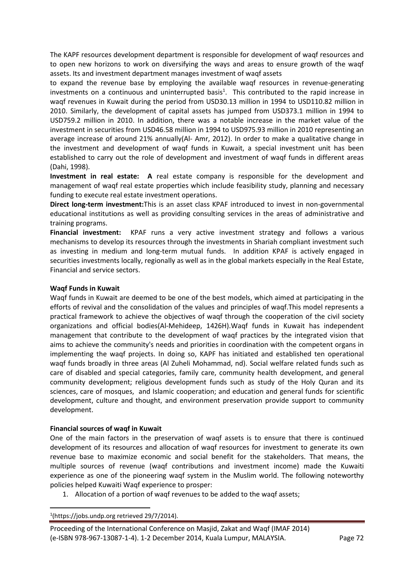The KAPF resources development department is responsible for development of waqf resources and to open new horizons to work on diversifying the ways and areas to ensure growth of the waqf assets. Its and investment department manages investment of waqf assets

to expand the revenue base by employing the available waqf resources in revenue-generating investments on a continuous and uninterrupted basis<sup>1</sup>. This contributed to the rapid increase in waqf revenues in Kuwait during the period from USD30.13 million in 1994 to USD110.82 million in 2010. Similarly, the development of capital assets has jumped from USD373.1 million in 1994 to USD759.2 million in 2010. In addition, there was a notable increase in the market value of the investment in securities from USD46.58 million in 1994 to USD975.93 million in 2010 representing an average increase of around 21% annually(Al- Amr, 2012). In order to make a qualitative change in the investment and development of waqf funds in Kuwait, a special investment unit has been established to carry out the role of development and investment of waqf funds in different areas (Dahi, 1998).

**Investment in real estate: A** real estate company is responsible for the development and management of waqf real estate properties which include feasibility study, planning and necessary funding to execute real estate investment operations.

**Direct long-term investment:**This is an asset class KPAF introduced to invest in non-governmental educational institutions as well as providing consulting services in the areas of administrative and training programs.

**Financial investment:** KPAF runs a very active investment strategy and follows a various mechanisms to develop its resources through the investments in Shariah compliant investment such as investing in medium and long-term mutual funds. In addition KPAF is actively engaged in securities investments locally, regionally as well as in the global markets especially in the Real Estate, Financial and service sectors.

### **Waqf Funds in Kuwait**

Waqf funds in Kuwait are deemed to be one of the best models, which aimed at participating in the efforts of revival and the consolidation of the values and principles of waqf.This model represents a practical framework to achieve the objectives of waqf through the cooperation of the civil society organizations and official bodies(Al-Mehideep, 1426H).Waqf funds in Kuwait has independent management that contribute to the development of waqf practices by the integrated vision that aims to achieve the community's needs and priorities in coordination with the competent organs in implementing the waqf projects. In doing so, KAPF has initiated and established ten operational waqf funds broadly in three areas (Al Zuheli Mohammad, nd). Social welfare related funds such as care of disabled and special categories, family care, community health development, and general community development; religious development funds such as study of the Holy Quran and its sciences, care of mosques, and Islamic cooperation; and education and general funds for scientific development, culture and thought, and environment preservation provide support to community development.

### **Financial sources of waqf in Kuwait**

One of the main factors in the preservation of waqf assets is to ensure that there is continued development of its resources and allocation of waqf resources for investment to generate its own revenue base to maximize economic and social benefit for the stakeholders. That means, the multiple sources of revenue (waqf contributions and investment income) made the Kuwaiti experience as one of the pioneering waqf system in the Muslim world. The following noteworthy policies helped Kuwaiti Waqf experience to prosper:

1. Allocation of a portion of waqf revenues to be added to the waqf assets;

**.** 1 (https://jobs.undp.org retrieved 29/7/2014).

Proceeding of the International Conference on Masjid, Zakat and Waqf (IMAF 2014) (e-ISBN 978-967-13087-1-4). 1-2 December 2014, Kuala Lumpur, MALAYSIA. Page 72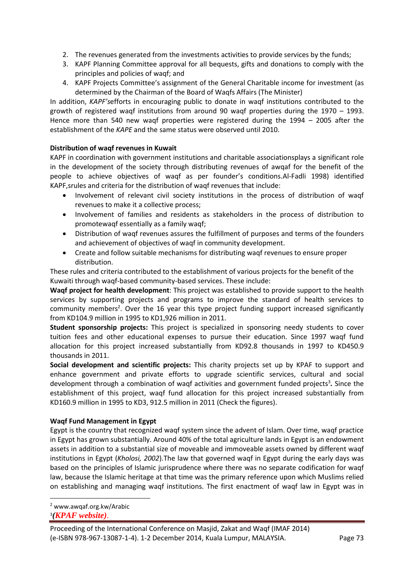- 2. The revenues generated from the investments activities to provide services by the funds;
- 3. KAPF Planning Committee approval for all bequests, gifts and donations to comply with the principles and policies of waqf; and
- 4. KAPF Projects Committee's assignment of the General Charitable income for investment (as determined by the Chairman of the Board of Waqfs Affairs (The Minister)

In addition, *KAPF's*efforts in encouraging public to donate in waqf institutions contributed to the growth of registered waqf institutions from around 90 waqf properties during the 1970 – 1993. Hence more than 540 new waqf properties were registered during the 1994 – 2005 after the establishment of the *KAPE* and the same status were observed until 2010.

# **Distribution of waqf revenues in Kuwait**

KAPF in coordination with government institutions and charitable associationsplays a significant role in the development of the society through distributing revenues of awqaf for the benefit of the people to achieve objectives of waqf as per founder's conditions.Al-Fadli 1998) identified KAPF,srules and criteria for the distribution of waqf revenues that include:

- Involvement of relevant civil society institutions in the process of distribution of waqf revenues to make it a collective process;
- Involvement of families and residents as stakeholders in the process of distribution to promotewaqf essentially as a family waqf;
- Distribution of waqf revenues assures the fulfillment of purposes and terms of the founders and achievement of objectives of waqf in community development.
- Create and follow suitable mechanisms for distributing waqf revenues to ensure proper distribution.

These rules and criteria contributed to the establishment of various projects for the benefit of the Kuwaiti through waqf-based community-based services. These include:

**Waqf project for health development**: This project was established to provide support to the health services by supporting projects and programs to improve the standard of health services to community members<sup>2</sup>. Over the 16 year this type project funding support increased significantly from KD104.9 million in 1995 to KD1,926 million in 2011.

**Student sponsorship projects:** This project is specialized in sponsoring needy students to cover tuition fees and other educational expenses to pursue their education. Since 1997 waqf fund allocation for this project increased substantially from KD92.8 thousands in 1997 to KD450.9 thousands in 2011.

**Social development and scientific projects:** This charity projects set up by KPAF to support and enhance government and private efforts to upgrade scientific services, cultural and social development through a combination of waqf activities and government funded projects<sup>3</sup>. Since the establishment of this project, waqf fund allocation for this project increased substantially from KD160.9 million in 1995 to KD3, 912.5 million in 2011 (Check the figures).

# **Waqf Fund Management in Egypt**

Egypt is the country that recognized waqf system since the advent of Islam. Over time, waqf practice in Egypt has grown substantially. Around 40% of the total agriculture lands in Egypt is an endowment assets in addition to a substantial size of moveable and immoveable assets owned by different waqf institutions in Egypt (*Kholosi, 2002*).The law that governed waqf in Egypt during the early days was based on the principles of Islamic jurisprudence where there was no separate codification for waqf law, because the Islamic heritage at that time was the primary reference upon which Muslims relied on establishing and managing waqf institutions. The first enactment of waqf law in Egypt was in

1

<sup>2</sup> www.awqaf.org.kw/Arabic 3 *(KPAF website)*.

Proceeding of the International Conference on Masjid, Zakat and Waqf (IMAF 2014) (e-ISBN 978-967-13087-1-4). 1-2 December 2014, Kuala Lumpur, MALAYSIA. Page 73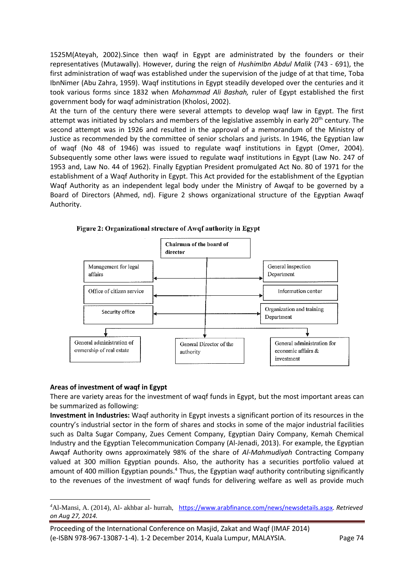1525M(Ateyah, 2002).Since then waqf in Egypt are administrated by the founders or their representatives (Mutawally). However, during the reign of *HushimIbn Abdul Malik* (743 - 691), the first administration of waqf was established under the supervision of the judge of at that time, Toba IbnNimer (Abu Zahra, 1959). Waqf institutions in Egypt steadily developed over the centuries and it took various forms since 1832 when *Mohammad Ali Bashah,* ruler of Egypt established the first government body for waqf administration (Kholosi, 2002).

At the turn of the century there were several attempts to develop waqf law in Egypt. The first attempt was initiated by scholars and members of the legislative assembly in early 20<sup>th</sup> century. The second attempt was in 1926 and resulted in the approval of a memorandum of the Ministry of Justice as recommended by the committee of senior scholars and jurists. In 1946, the Egyptian law of waqf (No 48 of 1946) was issued to regulate waqf institutions in Egypt (Omer, 2004). Subsequently some other laws were issued to regulate waqf institutions in Egypt (Law No. 247 of 1953 and, Law No. 44 of 1962). Finally Egyptian President promulgated Act No. 80 of 1971 for the establishment of a Waqf Authority in Egypt. This Act provided for the establishment of the Egyptian Waqf Authority as an independent legal body under the Ministry of Awqaf to be governed by a Board of Directors (Ahmed, nd). Figure 2 shows organizational structure of the Egyptian Awaqf Authority.



Figure 2: Organizational structure of Awqf authority in Egypt

### **Areas of investment of waqf in Egypt**

**.** 

There are variety areas for the investment of waqf funds in Egypt, but the most important areas can be summarized as following:

**Investment in Industries:** Waqf authority in Egypt invests a significant portion of its resources in the country's industrial sector in the form of shares and stocks in some of the major industrial facilities such as Dalta Sugar Company, Zues Cement Company, Egyptian Dairy Company, Kemah Chemical Industry and the Egyptian Telecommunication Company (Al-Jenadi, 2013). For example, the Egyptian Awqaf Authority owns approximately 98% of the share of *Al-Mahmudiyah* Contracting Company valued at 300 million Egyptian pounds. Also, the authority has a securities portfolio valued at amount of 400 million Egyptian pounds.<sup>4</sup> Thus, the Egyptian waqf authority contributing significantly to the revenues of the investment of waqf funds for delivering welfare as well as provide much

*<sup>4</sup>*Al-Mansi, A. (2014), Al- akhbar al- hurrah, <https://www.arabfinance.com/news/newsdetails.aspx>*. Retrieved on Aug 27, 2014.*

Proceeding of the International Conference on Masjid, Zakat and Waqf (IMAF 2014) (e-ISBN 978-967-13087-1-4). 1-2 December 2014, Kuala Lumpur, MALAYSIA. Page 74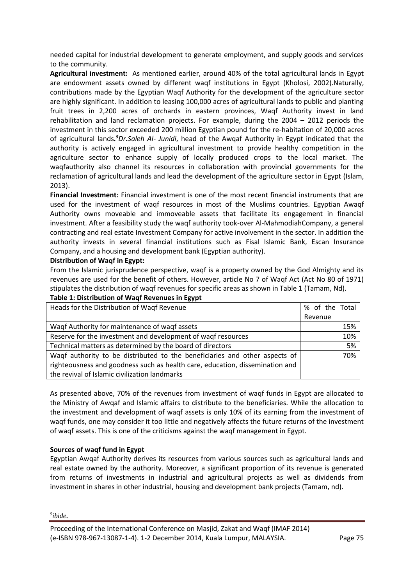needed capital for industrial development to generate employment, and supply goods and services to the community.

**Agricultural investment:** As mentioned earlier, around 40% of the total agricultural lands in Egypt are endowment assets owned by different waqf institutions in Egypt (Kholosi, 2002).Naturally, contributions made by the Egyptian Waqf Authority for the development of the agriculture sector are highly significant. In addition to leasing 100,000 acres of agricultural lands to public and planting fruit trees in 2,200 acres of orchards in eastern provinces, Waqf Authority invest in land rehabilitation and land reclamation projects. For example, during the 2004 – 2012 periods the investment in this sector exceeded 200 million Egyptian pound for the re-habitation of 20,000 acres of agricultural lands*. <sup>5</sup>Dr.Saleh Al- Junidi*, head of the Awqaf Authority in Egypt indicated that the authority is actively engaged in agricultural investment to provide healthy competition in the agriculture sector to enhance supply of locally produced crops to the local market. The waqfauthority also channel its resources in collaboration with provincial governments for the reclamation of agricultural lands and lead the development of the agriculture sector in Egypt (Islam, 2013).

**Financial Investment:** Financial investment is one of the most recent financial instruments that are used for the investment of waqf resources in most of the Muslims countries. Egyptian Awaqf Authority owns moveable and immoveable assets that facilitate its engagement in financial investment. After a feasibility study the waqf authority took-over Al-MahmodiahCompany, a general contracting and real estate Investment Company for active involvement in the sector. In addition the authority invests in several financial institutions such as Fisal Islamic Bank, Escan Insurance Company, and a housing and development bank (Egyptian authority).

### **Distribution of Waqf in Egypt:**

From the Islamic jurisprudence perspective, waqf is a property owned by the God Almighty and its revenues are used for the benefit of others. However, article No 7 of Waqf Act (Act No 80 of 1971) stipulates the distribution of waqf revenues for specific areas as shown in Table 1 (Tamam, Nd).

| Heads for the Distribution of Waqf Revenue                                   | % of the Total |     |
|------------------------------------------------------------------------------|----------------|-----|
|                                                                              | Revenue        |     |
| Waqf Authority for maintenance of waqf assets                                |                | 15% |
| Reserve for the investment and development of waqf resources                 |                | 10% |
| Technical matters as determined by the board of directors                    |                | 5%  |
| Waqf authority to be distributed to the beneficiaries and other aspects of   |                | 70% |
| righteousness and goodness such as health care, education, dissemination and |                |     |
| the revival of Islamic civilization landmarks                                |                |     |

# **Table 1: Distribution of Waqf Revenues in Egypt**

As presented above, 70% of the revenues from investment of waqf funds in Egypt are allocated to the Ministry of Awqaf and Islamic affairs to distribute to the beneficiaries. While the allocation to the investment and development of waqf assets is only 10% of its earning from the investment of waqf funds, one may consider it too little and negatively affects the future returns of the investment of waqf assets. This is one of the criticisms against the waqf management in Egypt.

# **Sources of waqf fund in Egypt**

Egyptian Awqaf Authority derives its resources from various sources such as agricultural lands and real estate owned by the authority. Moreover, a significant proportion of its revenue is generated from returns of investments in industrial and agricultural projects as well as dividends from investment in shares in other industrial, housing and development bank projects (Tamam, nd).

### *5 ibide.*

 $\overline{a}$ 

Proceeding of the International Conference on Masjid, Zakat and Waqf (IMAF 2014) (e-ISBN 978-967-13087-1-4). 1-2 December 2014, Kuala Lumpur, MALAYSIA. Page 75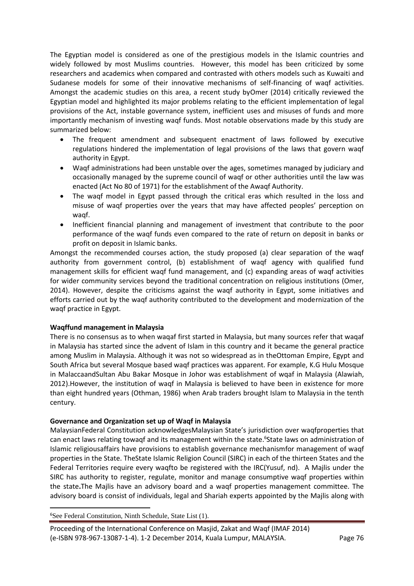The Egyptian model is considered as one of the prestigious models in the Islamic countries and widely followed by most Muslims countries. However, this model has been criticized by some researchers and academics when compared and contrasted with others models such as Kuwaiti and Sudanese models for some of their innovative mechanisms of self-financing of waqf activities. Amongst the academic studies on this area, a recent study byOmer (2014) critically reviewed the Egyptian model and highlighted its major problems relating to the efficient implementation of legal provisions of the Act, instable governance system, inefficient uses and misuses of funds and more importantly mechanism of investing waqf funds. Most notable observations made by this study are summarized below:

- The frequent amendment and subsequent enactment of laws followed by executive regulations hindered the implementation of legal provisions of the laws that govern waqf authority in Egypt.
- Waqf administrations had been unstable over the ages, sometimes managed by judiciary and occasionally managed by the supreme council of waqf or other authorities until the law was enacted (Act No 80 of 1971) for the establishment of the Awaqf Authority.
- The waqf model in Egypt passed through the critical eras which resulted in the loss and misuse of waqf properties over the years that may have affected peoples' perception on waqf.
- Inefficient financial planning and management of investment that contribute to the poor performance of the waqf funds even compared to the rate of return on deposit in banks or profit on deposit in Islamic banks.

Amongst the recommended courses action, the study proposed (a) clear separation of the waqf authority from government control, (b) establishment of waqf agency with qualified fund management skills for efficient waqf fund management, and (c) expanding areas of waqf activities for wider community services beyond the traditional concentration on religious institutions (Omer, 2014). However, despite the criticisms against the waqf authority in Egypt, some initiatives and efforts carried out by the waqf authority contributed to the development and modernization of the waqf practice in Egypt.

### **Waqffund management in Malaysia**

There is no consensus as to when waqaf first started in Malaysia, but many sources refer that waqaf in Malaysia has started since the advent of Islam in this country and it became the general practice among Muslim in Malaysia. Although it was not so widespread as in theOttoman Empire, Egypt and South Africa but several Mosque based waqf practices was apparent. For example, K.G Hulu Mosque in MalaccaandSultan Abu Bakar Mosque in Johor was establishment of wqaf in Malaysia (Alawiah, 2012).However, the institution of waqf in Malaysia is believed to have been in existence for more than eight hundred years (Othman, 1986) when Arab traders brought Islam to Malaysia in the tenth century.

### **Governance and Organization set up of Waqf in Malaysia**

MalaysianFederal Constitution acknowledgesMalaysian State's jurisdiction over waqfproperties that can enact laws relating towaqf and its management within the state. 6 State laws on administration of Islamic religiousaffairs have provisions to establish governance mechanismfor management of waqf properties in the State. TheState Islamic Religion Council (SIRC) in each of the thirteen States and the Federal Territories require every waqfto be registered with the IRC(Yusuf, nd). A Majlis under the SIRC has authority to register, regulate, monitor and manage consumptive waqf properties within the state**.**The Majlis have an advisory board and a waqf properties management committee. The advisory board is consist of individuals, legal and Shariah experts appointed by the Majlis along with

**.** <sup>6</sup>See Federal Constitution, Ninth Schedule, State List (1).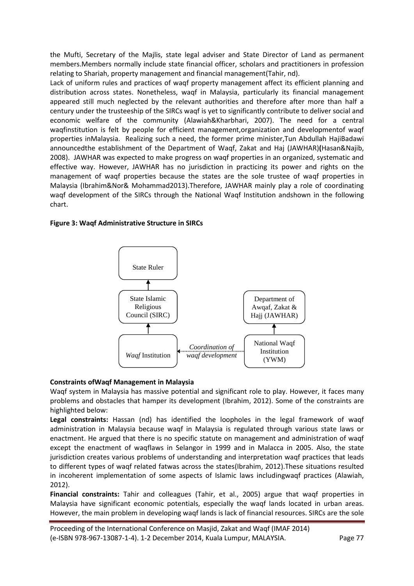the Mufti, Secretary of the Majlis, state legal adviser and State Director of Land as permanent members.Members normally include state financial officer, scholars and practitioners in profession relating to Shariah, property management and financial management(Tahir, nd).

Lack of uniform rules and practices of waqf property management affect its efficient planning and distribution across states. Nonetheless, waqf in Malaysia, particularly its financial management appeared still much neglected by the relevant authorities and therefore after more than half a century under the trusteeship of the SIRCs waqf is yet to significantly contribute to deliver social and economic welfare of the community (Alawiah&Kharbhari, 2007). The need for a central waqfinstitution is felt by people for efficient management,organization and developmentof waqf properties inMalaysia. Realizing such a need, the former prime minister,Tun Abdullah HajiBadawi announcedthe establishment of the Department of Waqf, Zakat and Haj (JAWHAR)**(**Hasan&Najib, 2008). JAWHAR was expected to make progress on waqf properties in an organized, systematic and effective way. However, JAWHAR has no jurisdiction in practicing its power and rights on the management of waqf properties because the states are the sole trustee of waqf properties in Malaysia (Ibrahim&Nor& Mohammad2013).Therefore, JAWHAR mainly play a role of coordinating waqf development of the SIRCs through the National Waqf Institution andshown in the following chart.

# **Figure 3: Waqf Administrative Structure in SIRCs**



# **Constraints ofWaqf Management in Malaysia**

Waqf system in Malaysia has massive potential and significant role to play. However, it faces many problems and obstacles that hamper its development (Ibrahim, 2012). Some of the constraints are highlighted below:

**Legal constraints:** Hassan (nd) has identified the loopholes in the legal framework of waqf administration in Malaysia because waqf in Malaysia is regulated through various state laws or enactment. He argued that there is no specific statute on management and administration of waqf except the enactment of waqflaws in Selangor in 1999 and in Malacca in 2005. Also, the state jurisdiction creates various problems of understanding and interpretation waqf practices that leads to different types of waqf related fatwas across the states(Ibrahim, 2012).These situations resulted in incoherent implementation of some aspects of Islamic laws includingwaqf practices (Alawiah, 2012).

**Financial constraints:** Tahir and colleagues (Tahir, et al., 2005) argue that waqf properties in Malaysia have significant economic potentials, especially the waqf lands located in urban areas. However, the main problem in developing waqf lands is lack of financial resources. SIRCs are the sole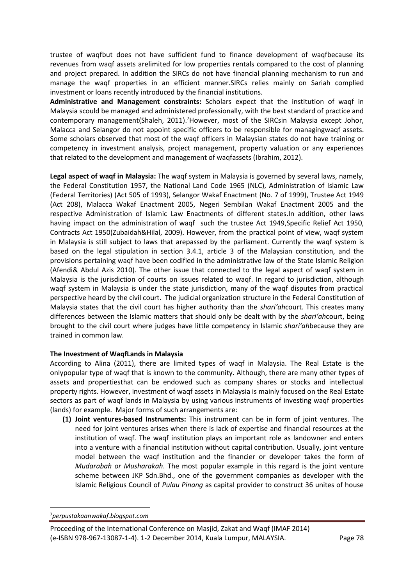trustee of waqfbut does not have sufficient fund to finance development of waqfbecause its revenues from waqf assets arelimited for low properties rentals compared to the cost of planning and project prepared. In addition the SIRCs do not have financial planning mechanism to run and manage the waqf properties in an efficient manner.SIRCs relies mainly on Sariah complied investment or loans recently introduced by the financial institutions.

**Administrative and Management constraints:** Scholars expect that the institution of waqf in Malaysia scould be managed and administered professionally, with the best standard of practice and contemporary management(Shaleh, 2011).<sup>7</sup>However, most of the SIRCsin Malaysia except Johor, Malacca and Selangor do not appoint specific officers to be responsible for managingwaqf assets. Some scholars observed that most of the waqf officers in Malaysian states do not have training or competency in investment analysis, project management, property valuation or any experiences that related to the development and management of waqfassets (Ibrahim, 2012).

**Legal aspect of waqf in Malaysia:** The waqf system in Malaysia is governed by several laws, namely, the Federal Constitution 1957, the National Land Code 1965 (NLC), Administration of Islamic Law (Federal Territories) (Act 505 of 1993), Selangor Wakaf Enactment (No. 7 of 1999), Trustee Act 1949 (Act 208), Malacca Wakaf Enactment 2005, Negeri Sembilan Wakaf Enactment 2005 and the respective Administration of Islamic Law Enactments of different states.In addition, other laws having impact on the administration of waqf such the trustee Act 1949,Specific Relief Act 1950, Contracts Act 1950(Zubaidah&Hilal, 2009). However, from the practical point of view, waqf system in Malaysia is still subject to laws that arepassed by the parliament. Currently the waqf system is based on the legal stipulation in section 3.4.1, article 3 of the Malaysian constitution, and the provisions pertaining waqf have been codified in the administrative law of the State Islamic Religion (Afendi& Abdul Azis 2010). The other issue that connected to the legal aspect of waqf system in Malaysia is the jurisdiction of courts on issues related to waqf. In regard to jurisdiction, although waqf system in Malaysia is under the state jurisdiction, many of the waqf disputes from practical perspective heard by the civil court. The judicial organization structure in the Federal Constitution of Malaysia states that the civil court has higher authority than the *shari'ah*court. This creates many differences between the Islamic matters that should only be dealt with by the *shari'ah*court, being brought to the civil court where judges have little competency in Islamic *shari'ah*because they are trained in common law.

# **The Investment of WaqfLands in Malaysia**

According to Alina (2011), there are limited types of waqf in Malaysia. The Real Estate is the onlypopular type of waqf that is known to the community. Although, there are many other types of assets and propertiesthat can be endowed such as company shares or stocks and intellectual property rights. However, investment of waqf assets in Malaysia is mainly focused on the Real Estate sectors as part of waqf lands in Malaysia by using various instruments of investing waqf properties (lands) for example. Major forms of such arrangements are:

**(1) Joint ventures-based Instruments:** This instrument can be in form of joint ventures. The need for joint ventures arises when there is lack of expertise and financial resources at the institution of waqf. The waqf institution plays an important role as landowner and enters into a venture with a financial institution without capital contribution. Usually, joint venture model between the waqf institution and the financier or developer takes the form of *Mudarabah or Musharakah*. The most popular example in this regard is the joint venture scheme between JKP Sdn.Bhd., one of the government companies as developer with the Islamic Religious Council of *Pulau Pinang* as capital provider to construct 36 unites of house

**.** 7*perpustakaanwakaf.blogspot.com*

Proceeding of the International Conference on Masjid, Zakat and Waqf (IMAF 2014) (e-ISBN 978-967-13087-1-4). 1-2 December 2014, Kuala Lumpur, MALAYSIA. Page 78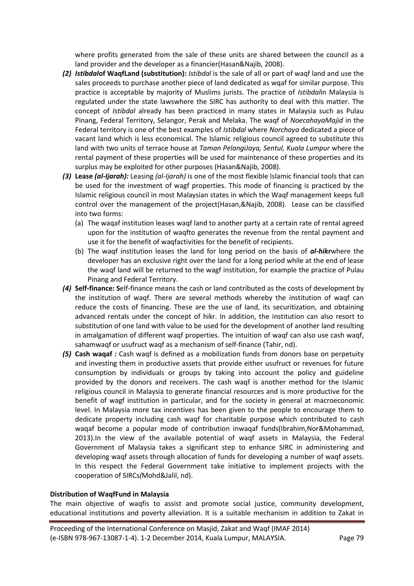where profits generated from the sale of these units are shared between the council as a land provider and the developer as a financier(Hasan&Najib, 2008).

- *(2) Istibdal***of WaqfLand (substitution):** *Istibdal* is the sale of all or part of waqf land and use the sales proceeds to purchase another piece of land dedicated as wqaf for similar purpose. This practice is acceptable by majority of Muslims jurists. The practice of *Istibdal*in Malaysia is regulated under the state lawswhere the SIRC has authority to deal with this matter. The concept of *Istibdal* already has been practiced in many states in Malaysia such as Pulau Pinang, Federal Territory, Selangor, Perak and Melaka. The waqf of *NoecahayaMajid* in the Federal territory is one of the best examples of *Istibdal* where *Norchaya* dedicated a piece of vacant land which is less economical. The Islamic religious council agreed to substitute this land with two units of terrace house at *Taman PelangiJaya, Sentul, Kuala Lumpur* where the rental payment of these properties will be used for maintenance of these properties and its surplus may be exploited for other purposes (Hasan&Najib, 2008).
- *(3)* **Lease** *(al-Ijarah):* Leasing *(al-Ijarah)* is one of the most flexible Islamic financial tools that can be used for the investment of wagf properties. This mode of financing is practiced by the Islamic religious council in most Malaysian states in which the Waqf management keeps full control over the management of the project(Hasan,&Najib, 2008). Lease can be classified into two forms:
	- (a) The waqaf institution leases waqf land to another party at a certain rate of rental agreed upon for the institution of waqfto generates the revenue from the rental payment and use it for the benefit of waqfactivities for the benefit of recipients.
	- (b) The waqf institution leases the land for long period on the basis of *al-hikr*where the developer has an exclusive right over the land for a long period while at the end of lease the waqf land will be returned to the wagf institution, for example the practice of Pulau Pinang and Federal Territory.
- *(4)* **Self-finance: S**elf-finance means the cash or land contributed as the costs of development by the institution of waqf. There are several methods whereby the institution of waqf can reduce the costs of financing. These are the use of land, its securitization, and obtaining advanced rentals under the concept of hikr. In addition, the institution can also resort to substitution of one land with value to be used for the development of another land resulting in amalgamation of different waqf properties. The intuition of waqf can also use cash waqf, sahamwaqf or usufruct waqf as a mechanism of self-finance (Tahir, nd).
- *(5)* **Cash waqaf** *:* Cash waqf is defined as a mobilization funds from donors base on perpetuity and investing them in productive assets that provide either usufruct or revenues for future consumption by individuals or groups by taking into account the policy and guideline provided by the donors and receivers. The cash waqf is another method for the Islamic religious council in Malaysia to generate financial resources and is more productive for the benefit of wagf institution in particular, and for the society in general at macroeconomic level. In Malaysia more tax incentives has been given to the people to encourage them to dedicate property including cash waqf for charitable purpose which contributed to cash waqaf become a popular mode of contribution inwaqaf funds(Ibrahim,Nor&Mohammad, 2013).In the view of the available potential of waqf assets in Malaysia, the Federal Government of Malaysia takes a significant step to enhance SIRC in administering and developing waqf assets through allocation of funds for developing a number of waqf assets. In this respect the Federal Government take initiative to implement projects with the cooperation of SIRCs*(*Mohd&Jalil, nd).

### **Distribution of WaqfFund in Malaysia**

The main objective of waqfis to assist and promote social justice, community development, educational institutions and poverty alleviation. It is a suitable mechanism in addition to Zakat in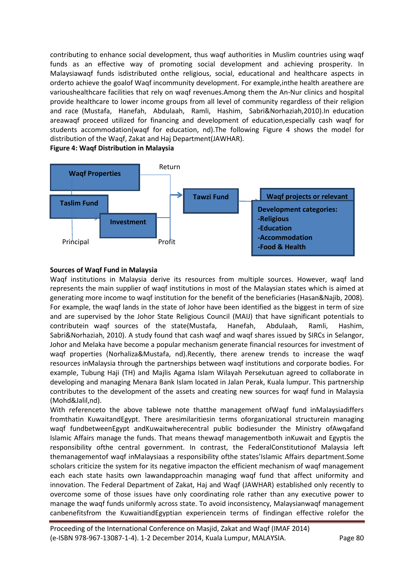contributing to enhance social development, thus waqf authorities in Muslim countries using waqf funds as an effective way of promoting social development and achieving prosperity. In Malaysiawaqf funds isdistributed onthe religious, social, educational and healthcare aspects in orderto achieve the goalof Waqf incommunity development. For example,inthe health areathere are varioushealthcare facilities that rely on waqf revenues.Among them the An-Nur clinics and hospital provide healthcare to lower income groups from all level of community regardless of their religion and race (Mustafa, Hanefah, Abdulaah, Ramli, Hashim, Sabri&Norhaziah,2010).In education areawaqf proceed utilized for financing and development of education,especially cash waqf for students accommodation(waqf for education, nd).The following Figure 4 shows the model for distribution of the Waqf, Zakat and Haj Department(JAWHAR).



### **Figure 4: Waqf Distribution in Malaysia**

### **Sources of Waqf Fund in Malaysia**

Waqf institutions in Malaysia derive its resources from multiple sources. However, waqf land represents the main supplier of waqf institutions in most of the Malaysian states which is aimed at generating more income to waqf institution for the benefit of the beneficiaries (Hasan&Najib, 2008). For example, the waqf lands in the state of Johor have been identified as the biggest in term of size and are supervised by the Johor State Religious Council (MAIJ) that have significant potentials to contributein waqf sources of the state(Mustafa, Hanefah, Abdulaah, Ramli, Hashim, Sabri&Norhaziah, 2010). A study found that cash waqf and waqf shares issued by SIRCs in Selangor, Johor and Melaka have become a popular mechanism generate financial resources for investment of waqf properties (Norhaliza&Mustafa, nd).Recently, there arenew trends to increase the waqf resources inMalaysia through the partnerships between waqf institutions and corporate bodies. For example, Tubung Haji (TH) and Majlis Agama Islam Wilayah Persekutuan agreed to collaborate in developing and managing Menara Bank Islam located in Jalan Perak, Kuala lumpur. This partnership contributes to the development of the assets and creating new sources for waqf fund in Malaysia (Mohd&Jalil,nd).

With referenceto the above tablewe note thatthe management of Waqf fund inMalaysiadiffers fromthatin KuwaitandEgypt. There aresimilaritiesin terms oforganizational structurein managing waqf fundbetweenEgypt andKuwaitwherecentral public bodiesunder the Ministry ofAwqafand Islamic Affairs manage the funds. That means thewaqf managementboth inKuwait and Egyptis the responsibility ofthe central government. In contrast, the FederalConstitutionof Malaysia left themanagementof waqf inMalaysiaas a responsibility ofthe states'Islamic Affairs department.Some scholars criticize the system for its negative impacton the efficient mechanism of waqf management each each state hasits own lawandapproachin managing waqf fund that affect uniformity and innovation. The Federal Department of Zakat, Haj and Waqf (JAWHAR) established only recently to overcome some of those issues have only coordinating role rather than any executive power to manage the waqf funds uniformly across state. To avoid inconsistency, Malaysianwaqf management canbenefitsfrom the KuwaitiandEgyptian experiencein terms of findingan effective rolefor the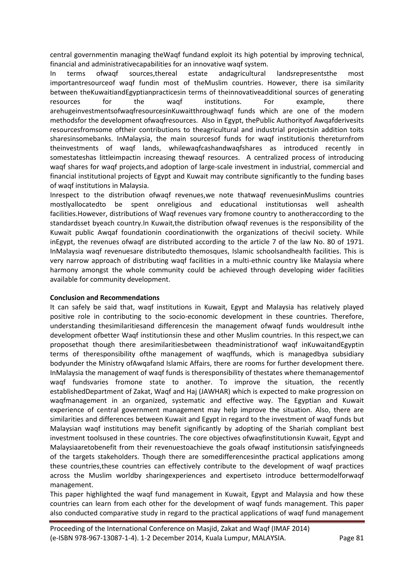central governmentin managing theWaqf fundand exploit its high potential by improving technical, financial and administrativecapabilities for an innovative waqf system.

In terms ofwaqf sources,thereal estate andagricultural landsrepresentsthe most importantresourceof waqf fundin most of theMuslim countries. However, there isa similarity between theKuwaitiandEgyptianpracticesin terms of theinnovativeadditional sources of generating resources for the waqf institutions. For example, there arehugeinvestmentsofwaqfresourcesinKuwaitthroughwaqf funds which are one of the modern methodsfor the development ofwaqfresources. Also in Egypt, thePublic Authorityof Awqafderivesits resourcesfromsome oftheir contributions to theagricultural and industrial projectsin addition toits sharesinsomebanks. InMalaysia, the main sourcesof funds for waqf institutionis thereturnfrom theinvestments of waqf lands, whilewaqfcashandwaqfshares as introduced recently in somestateshas littleimpactin increasing thewaqf resources. A centralized process of introducing waqf shares for waqf projects,and adoption of large-scale investment in industrial, commercial and financial institutional projects of Egypt and Kuwait may contribute significantly to the funding bases of waqf institutions in Malaysia.

Inrespect to the distribution ofwaqf revenues,we note thatwaqf revenuesinMuslims countries mostlyallocatedto be spent onreligious and educational institutionsas well ashealth facilities.However, distributions of Waqf revenues vary fromone country to anotheraccording to the standardsset byeach country.In Kuwait,the distribution ofwaqf revenues is the responsibility of the Kuwait public Awqaf foundationin coordinationwith the organizations of thecivil society. While inEgypt, the revenues ofwaqf are distributed according to the article 7 of the law No. 80 of 1971. InMalaysia waqf revenuesare distributedto themosques, Islamic schoolsandhealth facilities. This is very narrow approach of distributing waqf facilities in a multi-ethnic country like Malaysia where harmony amongst the whole community could be achieved through developing wider facilities available for community development.

### **Conclusion and Recommendations**

It can safely be said that, waqf institutions in Kuwait, Egypt and Malaysia has relatively played positive role in contributing to the socio-economic development in these countries. Therefore, understanding thesimilaritiesand differencesin the management ofwaqf funds wouldresult inthe development ofbetter Waqf institutionsin these and other Muslim countries. In this respect,we can proposethat though there aresimilaritiesbetween theadministrationof waqf inKuwaitandEgyptin terms of theresponsibility ofthe management of waqffunds, which is managedbya subsidiary bodyunder the Ministry ofAwqafand Islamic Affairs, there are rooms for further development there. InMalaysia the management of waqf funds is theresponsibility of thestates where themanagementof waqf fundsvaries fromone state to another. To improve the situation, the recently establishedDepartment of Zakat, Waqf and Haj (JAWHAR) which is expected to make progression on waqfmanagement in an organized, systematic and effective way. The Egyptian and Kuwait experience of central government management may help improve the situation. Also, there are similarities and differences between Kuwait and Egypt in regard to the investment of waqf funds but Malaysian waqf institutions may benefit significantly by adopting of the Shariah compliant best investment toolsused in these countries. The core objectives ofwaqfinstitutionsin Kuwait, Egypt and Malaysiaaretobenefit from their revenuestoachieve the goals ofwaqf institutionsin satisfyingneeds of the targets stakeholders. Though there are somedifferencesinthe practical applications among these countries,these countries can effectively contribute to the development of waqf practices across the Muslim worldby sharingexperiences and expertiseto introduce bettermodelforwaqf management.

This paper highlighted the waqf fund management in Kuwait, Egypt and Malaysia and how these countries can learn from each other for the development of waqf funds management. This paper also conducted comparative study in regard to the practical applications of waqf fund management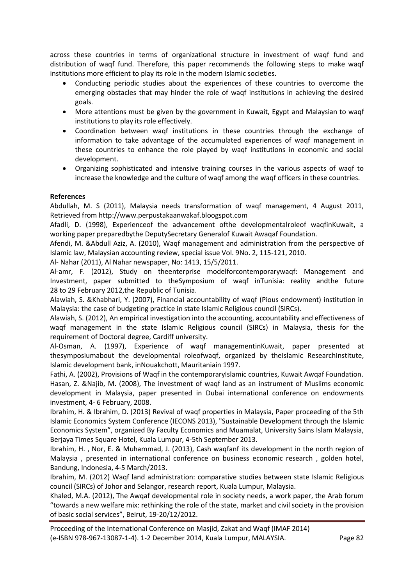across these countries in terms of organizational structure in investment of waqf fund and distribution of waqf fund. Therefore, this paper recommends the following steps to make waqf institutions more efficient to play its role in the modern Islamic societies.

- Conducting periodic studies about the experiences of these countries to overcome the emerging obstacles that may hinder the role of waqf institutions in achieving the desired goals.
- More attentions must be given by the government in Kuwait, Egypt and Malaysian to waqf institutions to play its role effectively.
- Coordination between waqf institutions in these countries through the exchange of information to take advantage of the accumulated experiences of waqf management in these countries to enhance the role played by waqf institutions in economic and social development.
- Organizing sophisticated and intensive training courses in the various aspects of waqf to increase the knowledge and the culture of waqf among the waqf officers in these countries.

### **References**

Abdullah, M. S (2011), Malaysia needs transformation of waqf management, 4 August 2011, Retrieved from [http://www.perpustakaanwakaf.bloogspot.com](http://www.perpustakaanwakaf.bloogspot.com/)

Afadli, D. (1998), Experienceof the advancement ofthe developmentalroleof waqfinKuwait, a working paper preparedbythe DeputySecretary Generalof Kuwait Awaqaf Foundation.

Afendi, M. &Abdull Aziz, A. (2010), Waqf management and administration from the perspective of Islamic law, Malaysian accounting review, special issue Vol. 9No. 2, 115-121, 2010.

Al- Nahar (2011), Al Nahar newspaper, No: 1413, 15/5/2011.

Al-amr, F. (2012), Study on theenterprise modelforcontemporarywaqf: Management and Investment, paper submitted to theSymposium of waqf inTunisia: reality andthe future 28 to 29 February 2012,the Republic of Tunisia.

Alawiah, S. &Khabhari, Y. (2007), Financial accountability of waqf (Pious endowment) institution in Malaysia: the case of budgeting practice in state Islamic Religious council (SIRCs).

Alawiah, S. (2012), An empirical investigation into the accounting, accountability and effectiveness of waqf management in the state Islamic Religious council (SIRCs) in Malaysia, thesis for the requirement of Doctoral degree, Cardiff university.

Al-Osman, A. (1997), Experience of waqf managementinKuwait, paper presented at thesymposiumabout the developmental roleofwaqf, organized by theIslamic ResearchInstitute, Islamic development bank, inNouakchott, Mauritaniain 1997.

Fathi, A. (2002), Provisions of Waqf in the contemporaryIslamic countries, Kuwait Awqaf Foundation. Hasan, Z. &Najib, M. (2008), The investment of waqf land as an instrument of Muslims economic development in Malaysia, paper presented in Dubai international conference on endowments investment, 4- 6 February, 2008.

Ibrahim, H. & Ibrahim, D. (2013) Revival of waqf properties in Malaysia, Paper proceeding of the 5th Islamic Economics System Conference (IECONS 2013), "Sustainable Development through the Islamic Economics System", organized By Faculty Economics and Muamalat, University Sains Islam Malaysia, Berjaya Times Square Hotel, Kuala Lumpur, 4-5th September 2013.

Ibrahim, H. , Nor, E. & Muhammad, J. (2013), Cash waqfanf its development in the north region of Malaysia , presented in international conference on business economic research , golden hotel, Bandung, Indonesia, 4-5 March/2013.

Ibrahim, M. (2012) Waqf land administration: comparative studies between state Islamic Religious council (SIRCs) of Johor and Selangor, research report, Kuala Lumpur, Malaysia.

Khaled, M.A. (2012), The Awqaf developmental role in society needs, a work paper, the Arab forum "towards a new welfare mix: rethinking the role of the state, market and civil society in the provision of basic social services", Beirut, 19-20/12/2012.